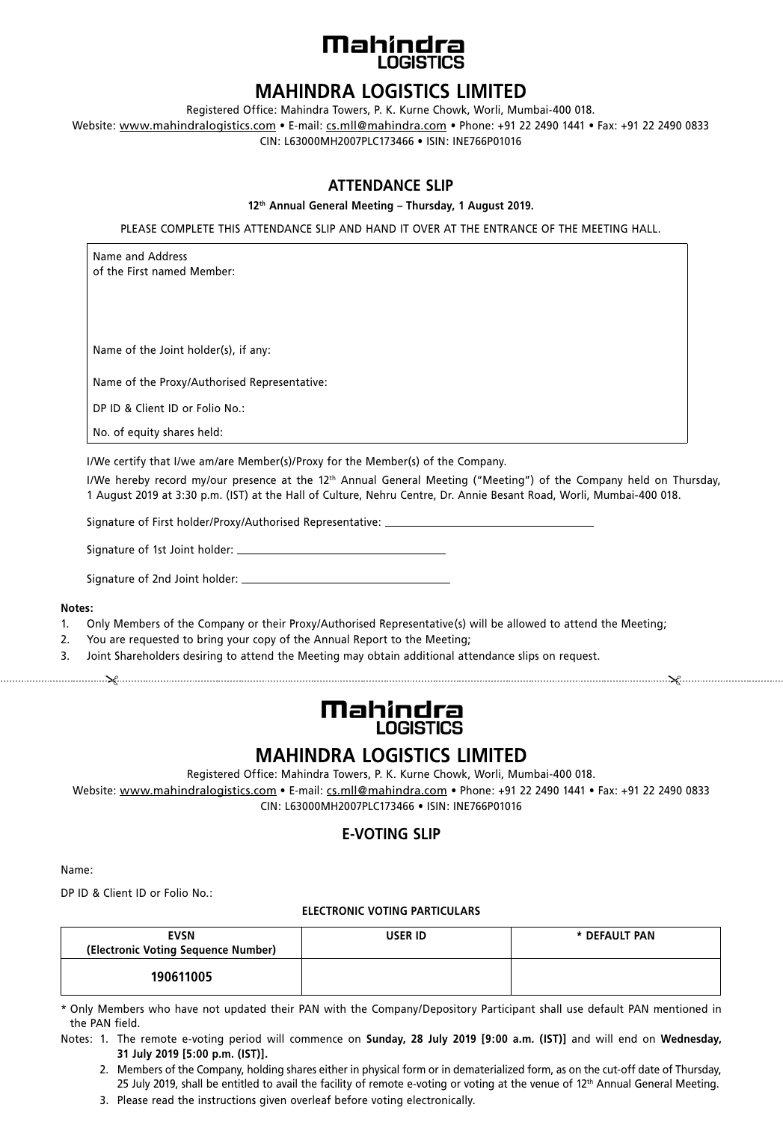

## **MAHINDRA LOGISTICS LIMITED**

Registered Office: Mahindra Towers, P. K. Kurne Chowk, Worli, Mumbai-400 018.

Website: www.mahindralogistics.com • E-mail: cs.mll@mahindra.com • Phone: +91 22 2490 1441 • Fax: +91 22 2490 0833 CIN: L63000MH2007PLC173466 • ISIN: INE766P01016

### **ATTENDANCE SLIP**

#### **12th Annual General Meeting – Thursday, 1 August 2019.**

PLEASE COMPLETE THIS ATTENDANCE SLIP AND HAND IT OVER AT THE ENTRANCE OF THE MEETING HALL.

Name and Address of the First named Member:

Name of the Joint holder(s), if any:

Name of the Proxy/Authorised Representative:

DP ID & Client ID or Folio No.:

No. of equity shares held:

I/We certify that I/we am/are Member(s)/Proxy for the Member(s) of the Company.

I/We hereby record my/our presence at the 12<sup>th</sup> Annual General Meeting ("Meeting") of the Company held on Thursday, 1 August 2019 at 3:30 p.m. (IST) at the Hall of Culture, Nehru Centre, Dr. Annie Besant Road, Worli, Mumbai-400 018.

Signature of First holder/Proxy/Authorised Representative:

Signature of 1st Joint holder:

Signature of 2nd Joint holder:

#### **Notes:**

- 1. Only Members of the Company or their Proxy/Authorised Representative(s) will be allowed to attend the Meeting;
- 2. You are requested to bring your copy of the Annual Report to the Meeting;
- $\mathcal{X}$ 3. Joint Shareholders desiring to attend the Meeting may obtain additional attendance slips on request.

# **Mahinclra LOGISTICS**

# **MAHINDRA LOGISTICS LIMITED**

Registered Office: Mahindra Towers, P. K. Kurne Chowk, Worli, Mumbai-400 018.

Website: www.mahindralogistics.com • E-mail: cs.mll@mahindra.com • Phone: +91 22 2490 1441 • Fax: +91 22 2490 0833 CIN: L63000MH2007PLC173466 • ISIN: INE766P01016

### **E-VOTING SLIP**

Name:

DP ID & Client ID or Folio No.:

#### **ELECTRONIC VOTING PARTICULARS**

| <b>EVSN</b><br>(Electronic Voting Sequence Number) | <b>USER ID</b> | * DEFAULT PAN |
|----------------------------------------------------|----------------|---------------|
| 190611005                                          |                |               |

\* Only Members who have not updated their PAN with the Company/Depository Participant shall use default PAN mentioned in the PAN field.

Notes: 1. The remote e-voting period will commence on **Sunday, 28 July 2019 [9:00 a.m. (IST)]** and will end on **Wednesday, 31 July 2019 [5:00 p.m. (IST)].**

2. Members of the Company, holding shares either in physical form or in dematerialized form, as on the cut-off date of Thursday, 25 July 2019, shall be entitled to avail the facility of remote e-voting or voting at the venue of  $12<sup>th</sup>$  Annual General Meeting.

3. Please read the instructions given overleaf before voting electronically.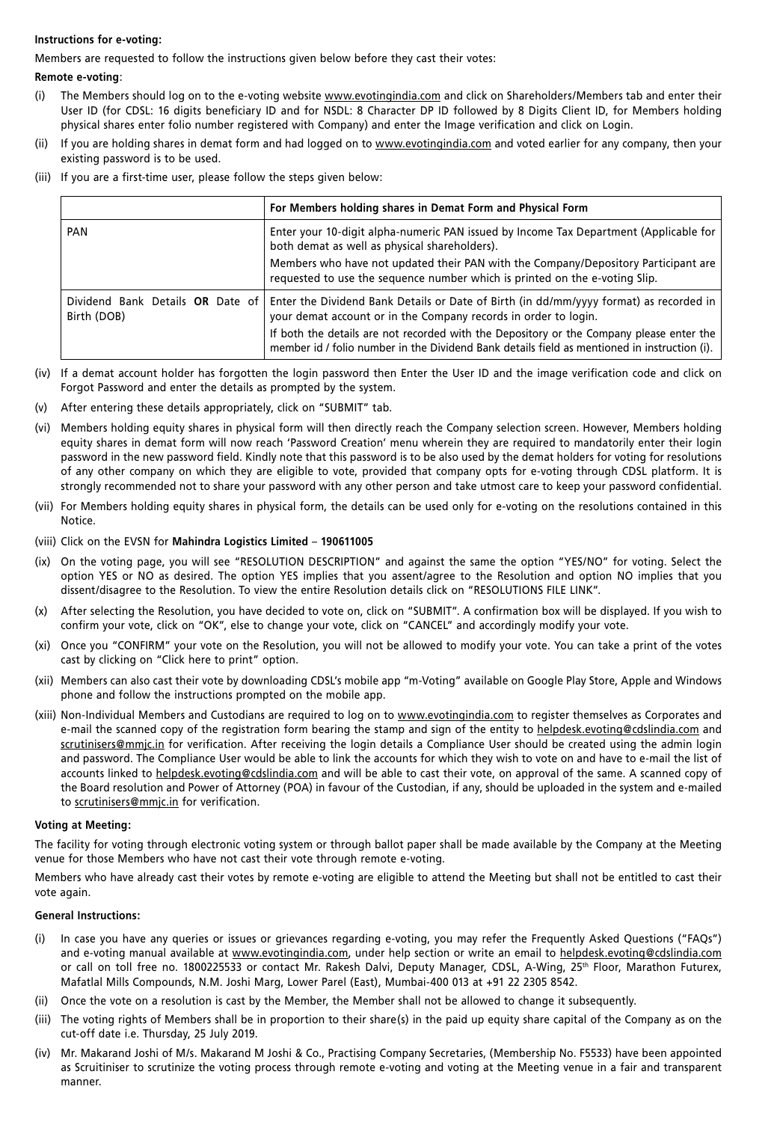#### **Instructions for e-voting:**

Members are requested to follow the instructions given below before they cast their votes:

#### **Remote e-voting**:

- (i) The Members should log on to the e-voting website www.evotingindia.com and click on Shareholders/Members tab and enter their User ID (for CDSL: 16 digits beneficiary ID and for NSDL: 8 Character DP ID followed by 8 Digits Client ID, for Members holding physical shares enter folio number registered with Company) and enter the Image verification and click on Login.
- (ii) If you are holding shares in demat form and had logged on to www.evotingindia.com and voted earlier for any company, then your existing password is to be used.
- (iii) If you are a first-time user, please follow the steps given below:

|             | For Members holding shares in Demat Form and Physical Form                                                                                                                                 |
|-------------|--------------------------------------------------------------------------------------------------------------------------------------------------------------------------------------------|
| <b>PAN</b>  | Enter your 10-digit alpha-numeric PAN issued by Income Tax Department (Applicable for<br>both demat as well as physical shareholders).                                                     |
|             | Members who have not updated their PAN with the Company/Depository Participant are<br>requested to use the sequence number which is printed on the e-voting Slip.                          |
| Birth (DOB) | Dividend Bank Details OR Date of Enter the Dividend Bank Details or Date of Birth (in dd/mm/yyyy format) as recorded in<br>your demat account or in the Company records in order to login. |
|             | If both the details are not recorded with the Depository or the Company please enter the<br>member id / folio number in the Dividend Bank details field as mentioned in instruction (i).   |

- (iv) If a demat account holder has forgotten the login password then Enter the User ID and the image verification code and click on Forgot Password and enter the details as prompted by the system.
- (v) After entering these details appropriately, click on "SUBMIT" tab.
- (vi) Members holding equity shares in physical form will then directly reach the Company selection screen. However, Members holding equity shares in demat form will now reach 'Password Creation' menu wherein they are required to mandatorily enter their login password in the new password field. Kindly note that this password is to be also used by the demat holders for voting for resolutions of any other company on which they are eligible to vote, provided that company opts for e-voting through CDSL platform. It is strongly recommended not to share your password with any other person and take utmost care to keep your password confidential.
- (vii) For Members holding equity shares in physical form, the details can be used only for e-voting on the resolutions contained in this Notice.
- (viii) Click on the EVSN for **Mahindra Logistics Limited 190611005**
- (ix) On the voting page, you will see "RESOLUTION DESCRIPTION" and against the same the option "YES/NO" for voting. Select the option YES or NO as desired. The option YES implies that you assent/agree to the Resolution and option NO implies that you dissent/disagree to the Resolution. To view the entire Resolution details click on "RESOLUTIONS FILE LINK".
- (x) After selecting the Resolution, you have decided to vote on, click on "SUBMIT". A confirmation box will be displayed. If you wish to confirm your vote, click on "OK", else to change your vote, click on "CANCEL" and accordingly modify your vote.
- (xi) Once you "CONFIRM" your vote on the Resolution, you will not be allowed to modify your vote. You can take a print of the votes cast by clicking on "Click here to print" option.
- (xii) Members can also cast their vote by downloading CDSL's mobile app "m-Voting" available on Google Play Store, Apple and Windows phone and follow the instructions prompted on the mobile app.
- (xiii) Non-Individual Members and Custodians are required to log on to www.evotingindia.com to register themselves as Corporates and e-mail the scanned copy of the registration form bearing the stamp and sign of the entity to helpdesk.evoting@cdslindia.com and scrutinisers@mmjc.in for verification. After receiving the login details a Compliance User should be created using the admin login and password. The Compliance User would be able to link the accounts for which they wish to vote on and have to e-mail the list of accounts linked to helpdesk.evoting@cdslindia.com and will be able to cast their vote, on approval of the same. A scanned copy of the Board resolution and Power of Attorney (POA) in favour of the Custodian, if any, should be uploaded in the system and e-mailed to scrutinisers@mmjc.in for verification.

#### **Voting at Meeting:**

The facility for voting through electronic voting system or through ballot paper shall be made available by the Company at the Meeting venue for those Members who have not cast their vote through remote e-voting.

Members who have already cast their votes by remote e-voting are eligible to attend the Meeting but shall not be entitled to cast their vote again.

#### **General Instructions:**

- (i) In case you have any queries or issues or grievances regarding e-voting, you may refer the Frequently Asked Questions ("FAQs") and e-voting manual available at www.evotingindia.com, under help section or write an email to helpdesk.evoting@cdslindia.com or call on toll free no. 1800225533 or contact Mr. Rakesh Dalvi, Deputy Manager, CDSL, A-Wing, 25<sup>th</sup> Floor, Marathon Futurex, Mafatlal Mills Compounds, N.M. Joshi Marg, Lower Parel (East), Mumbai-400 013 at +91 22 2305 8542.
- (ii) Once the vote on a resolution is cast by the Member, the Member shall not be allowed to change it subsequently.
- (iii) The voting rights of Members shall be in proportion to their share(s) in the paid up equity share capital of the Company as on the cut-off date i.e. Thursday, 25 July 2019.
- (iv) Mr. Makarand Joshi of M/s. Makarand M Joshi & Co., Practising Company Secretaries, (Membership No. F5533) have been appointed as Scruitiniser to scrutinize the voting process through remote e-voting and voting at the Meeting venue in a fair and transparent manner.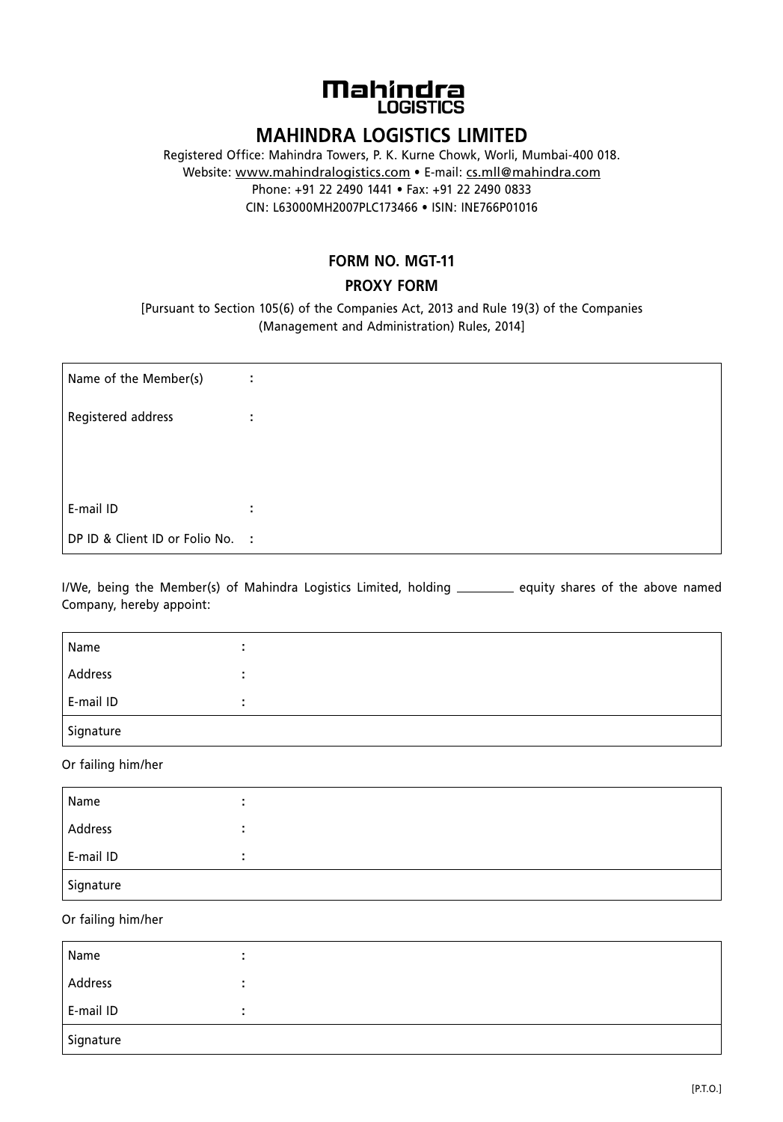# **Mahinclra LOGISTICS**

## **MAHINDRA LOGISTICS LIMITED**

Registered Office: Mahindra Towers, P. K. Kurne Chowk, Worli, Mumbai-400 018. Website: www.mahindralogistics.com • E-mail: cs.mll@mahindra.com Phone: +91 22 2490 1441 • Fax: +91 22 2490 0833 CIN: L63000MH2007PLC173466 • ISIN: INE766P01016

### **FORM NO. MGT-11**

### **PROXY FORM**

[Pursuant to Section 105(6) of the Companies Act, 2013 and Rule 19(3) of the Companies (Management and Administration) Rules, 2014]

| Name of the Member(s)            | ÷ |
|----------------------------------|---|
| Registered address               | ÷ |
|                                  |   |
|                                  |   |
| E-mail ID                        | ÷ |
| DP ID & Client ID or Folio No. : |   |

I/We, being the Member(s) of Mahindra Logistics Limited, holding \_\_\_\_\_\_\_\_\_ equity shares of the above named company, hereby appoint:

| Name      |  |
|-----------|--|
| Address   |  |
| E-mail ID |  |
| Signature |  |

Or failing him/her

| Name      |  |
|-----------|--|
| Address   |  |
| E-mail ID |  |
| Signature |  |

Or failing him/her

| Name      |   |  |
|-----------|---|--|
| Address   | ٠ |  |
| E-mail ID |   |  |
| Signature |   |  |